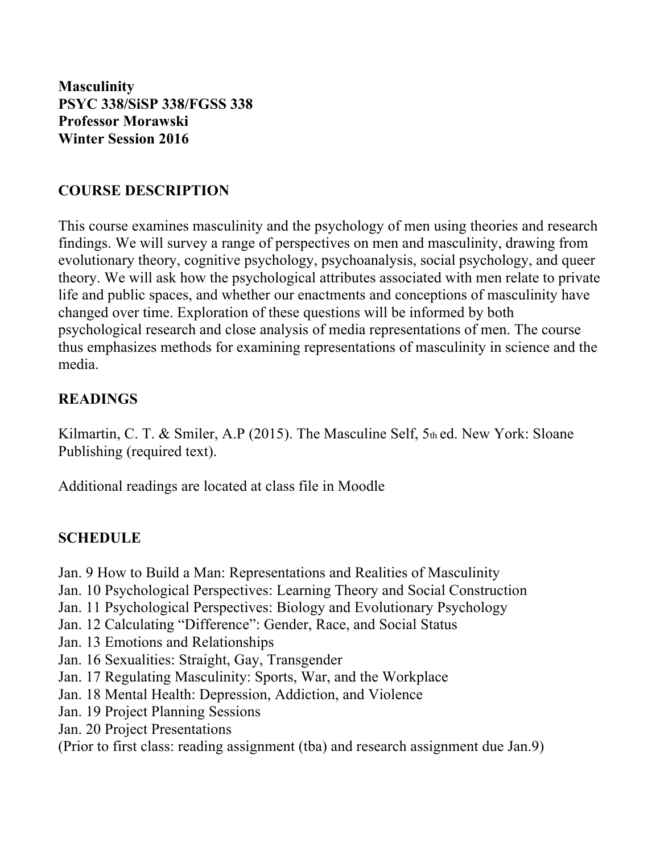**Masculinity PSYC 338/SiSP 338/FGSS 338 Professor Morawski Winter Session 2016**

# **COURSE DESCRIPTION**

This course examines masculinity and the psychology of men using theories and research findings. We will survey a range of perspectives on men and masculinity, drawing from evolutionary theory, cognitive psychology, psychoanalysis, social psychology, and queer theory. We will ask how the psychological attributes associated with men relate to private life and public spaces, and whether our enactments and conceptions of masculinity have changed over time. Exploration of these questions will be informed by both psychological research and close analysis of media representations of men. The course thus emphasizes methods for examining representations of masculinity in science and the media.

# **READINGS**

Kilmartin, C. T. & Smiler, A.P (2015). The Masculine Self, 5th ed. New York: Sloane Publishing (required text).

Additional readings are located at class file in Moodle

## **SCHEDULE**

- Jan. 9 How to Build a Man: Representations and Realities of Masculinity
- Jan. 10 Psychological Perspectives: Learning Theory and Social Construction
- Jan. 11 Psychological Perspectives: Biology and Evolutionary Psychology
- Jan. 12 Calculating "Difference": Gender, Race, and Social Status
- Jan. 13 Emotions and Relationships
- Jan. 16 Sexualities: Straight, Gay, Transgender
- Jan. 17 Regulating Masculinity: Sports, War, and the Workplace
- Jan. 18 Mental Health: Depression, Addiction, and Violence
- Jan. 19 Project Planning Sessions
- Jan. 20 Project Presentations
- (Prior to first class: reading assignment (tba) and research assignment due Jan.9)